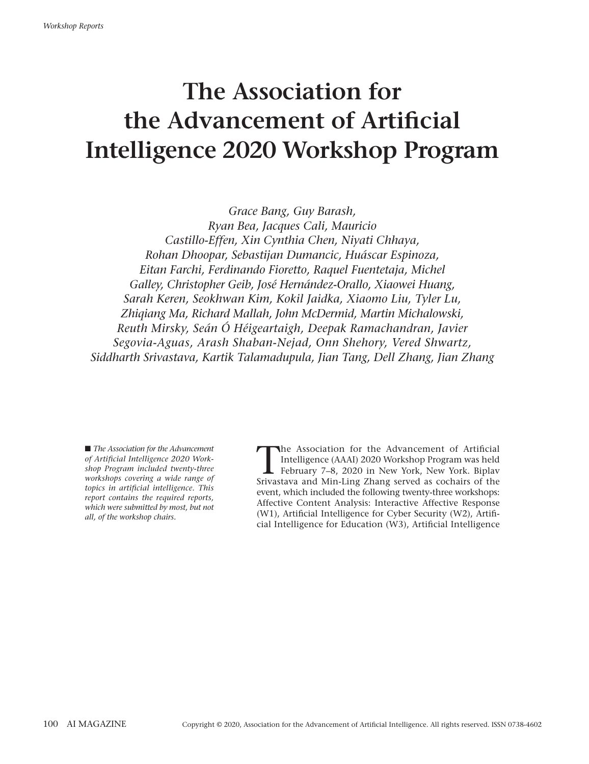# **The Association for the Advancement of Artificial Intelligence 2020 Workshop Program**

*Grace Bang, Guy Barash, Ryan Bea, Jacques Cali, Mauricio Castillo-Effen, Xin Cynthia Chen, Niyati Chhaya, Rohan Dhoopar, Sebastijan Dumancic, Huáscar Espinoza, Eitan Farchi, Ferdinando Fioretto, Raquel Fuentetaja, Michel Galley, Christopher Geib, José Hernández-Orallo, Xiaowei Huang, Sarah Keren, Seokhwan Kim, Kokil Jaidka, Xiaomo Liu, Tyler Lu, Zhiqiang Ma, Richard Mallah, John McDermid, Martin Michalowski, Reuth Mirsky, Seán Ó Héigeartaigh, Deepak Ramachandran, Javier Segovia-Aguas, Arash Shaban-Nejad, Onn Shehory, Vered Shwartz, Siddharth Srivastava, Kartik Talamadupula, Jian Tang, Dell Zhang, Jian Zhang*

■ *The Association for the Advancement of Artificial Intelligence 2020 Workshop Program included twenty-three workshops covering a wide range of topics in artificial intelligence. This report contains the required reports, which were submitted by most, but not all, of the workshop chairs.*

The Association for the Advancement of Artificial<br>Intelligence (AAAI) 2020 Workshop Program was held<br>February 7–8, 2020 in New York, New York. Biplay<br>Srivastava and Min Ling Zhang served as cochairs of the Intelligence (AAAI) 2020 Workshop Program was held February 7–8, 2020 in New York, New York. Biplav Srivastava and Min-Ling Zhang served as cochairs of the event, which included the following twenty-three workshops: Affective Content Analysis: Interactive Affective Response (W1), Artificial Intelligence for Cyber Security (W2), Artificial Intelligence for Education (W3), Artificial Intelligence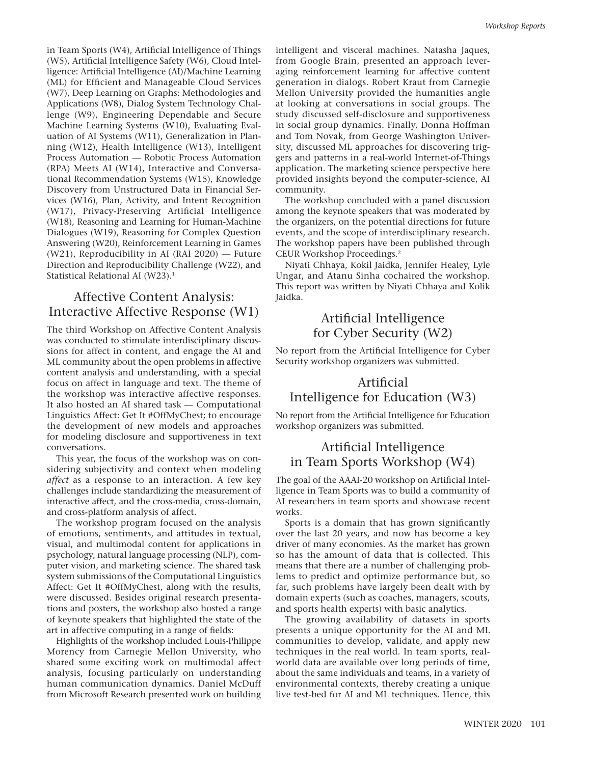in Team Sports (W4), Artificial Intelligence of Things (W5), Artificial Intelligence Safety (W6), Cloud Intelligence: Artificial Intelligence (AI)/Machine Learning (ML) for Efficient and Manageable Cloud Services (W7), Deep Learning on Graphs: Methodologies and Applications (W8), Dialog System Technology Challenge (W9), Engineering Dependable and Secure Machine Learning Systems (W10), Evaluating Evaluation of AI Systems (W11), Generalization in Planning (W12), Health Intelligence (W13), Intelligent Process Automation — Robotic Process Automation (RPA) Meets AI (W14), Interactive and Conversational Recommendation Systems (W15), Knowledge Discovery from Unstructured Data in Financial Services (W16), Plan, Activity, and Intent Recognition (W17), Privacy-Preserving Artificial Intelligence (W18), Reasoning and Learning for Human-Machine Dialogues (W19), Reasoning for Complex Question Answering (W20), Reinforcement Learning in Games (W21), Reproducibility in AI (RAI 2020) — Future Direction and Reproducibility Challenge (W22), and Statistical Relational AI (W23).<sup>1</sup>

## Affective Content Analysis: Interactive Affective Response (W1)

The third Workshop on Affective Content Analysis was conducted to stimulate interdisciplinary discussions for affect in content, and engage the AI and ML community about the open problems in affective content analysis and understanding, with a special focus on affect in language and text. The theme of the workshop was interactive affective responses. It also hosted an AI shared task — Computational Linguistics Affect: Get It #OffMyChest; to encourage the development of new models and approaches for modeling disclosure and supportiveness in text conversations.

This year, the focus of the workshop was on considering subjectivity and context when modeling *affect* as a response to an interaction. A few key challenges include standardizing the measurement of interactive affect, and the cross-media, cross-domain, and cross-platform analysis of affect.

The workshop program focused on the analysis of emotions, sentiments, and attitudes in textual, visual, and multimodal content for applications in psychology, natural language processing (NLP), computer vision, and marketing science. The shared task system submissions of the Computational Linguistics Affect: Get It #OffMyChest, along with the results, were discussed. Besides original research presentations and posters, the workshop also hosted a range of keynote speakers that highlighted the state of the art in affective computing in a range of fields:

Highlights of the workshop included Louis-Philippe Morency from Carnegie Mellon University, who shared some exciting work on multimodal affect analysis, focusing particularly on understanding human communication dynamics. Daniel McDuff from Microsoft Research presented work on building

intelligent and visceral machines. Natasha Jaques, from Google Brain, presented an approach leveraging reinforcement learning for affective content generation in dialogs. Robert Kraut from Carnegie Mellon University provided the humanities angle at looking at conversations in social groups. The study discussed self-disclosure and supportiveness in social group dynamics. Finally, Donna Hoffman and Tom Novak, from George Washington University, discussed ML approaches for discovering triggers and patterns in a real-world Internet-of-Things application. The marketing science perspective here provided insights beyond the computer-science, AI community.

The workshop concluded with a panel discussion among the keynote speakers that was moderated by the organizers, on the potential directions for future events, and the scope of interdisciplinary research. The workshop papers have been published through CEUR Workshop Proceedings.2

Niyati Chhaya, Kokil Jaidka, Jennifer Healey, Lyle Ungar, and Atanu Sinha cochaired the workshop. This report was written by Niyati Chhaya and Kolik Jaidka.

## Artificial Intelligence for Cyber Security (W2)

No report from the Artificial Intelligence for Cyber Security workshop organizers was submitted.

## Artificial Intelligence for Education (W3)

No report from the Artificial Intelligence for Education workshop organizers was submitted.

## Artificial Intelligence in Team Sports Workshop (W4)

The goal of the AAAI-20 workshop on Artificial Intelligence in Team Sports was to build a community of AI researchers in team sports and showcase recent works.

Sports is a domain that has grown significantly over the last 20 years, and now has become a key driver of many economies. As the market has grown so has the amount of data that is collected. This means that there are a number of challenging problems to predict and optimize performance but, so far, such problems have largely been dealt with by domain experts (such as coaches, managers, scouts, and sports health experts) with basic analytics.

The growing availability of datasets in sports presents a unique opportunity for the AI and ML communities to develop, validate, and apply new techniques in the real world. In team sports, realworld data are available over long periods of time, about the same individuals and teams, in a variety of environmental contexts, thereby creating a unique live test-bed for AI and ML techniques. Hence, this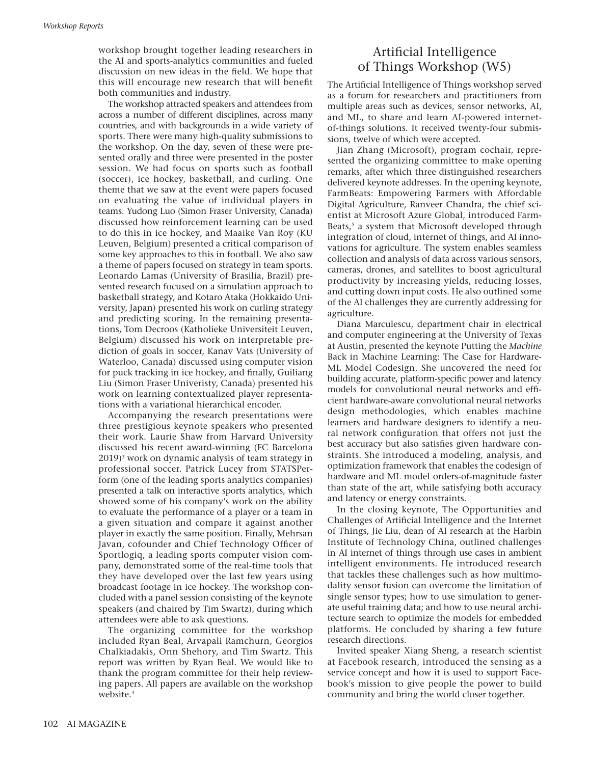workshop brought together leading researchers in the AI and sports-analytics communities and fueled discussion on new ideas in the field. We hope that this will encourage new research that will benefit both communities and industry.

The workshop attracted speakers and attendees from across a number of different disciplines, across many countries, and with backgrounds in a wide variety of sports. There were many high-quality submissions to the workshop. On the day, seven of these were presented orally and three were presented in the poster session. We had focus on sports such as football (soccer), ice hockey, basketball, and curling. One theme that we saw at the event were papers focused on evaluating the value of individual players in teams. Yudong Luo (Simon Fraser University, Canada) discussed how reinforcement learning can be used to do this in ice hockey, and Maaike Van Roy (KU Leuven, Belgium) presented a critical comparison of some key approaches to this in football. We also saw a theme of papers focused on strategy in team sports. Leonardo Lamas (University of Brasilia, Brazil) presented research focused on a simulation approach to basketball strategy, and Kotaro Ataka (Hokkaido University, Japan) presented his work on curling strategy and predicting scoring. In the remaining presentations, Tom Decroos (Katholieke Universiteit Leuven, Belgium) discussed his work on interpretable prediction of goals in soccer, Kanav Vats (University of Waterloo, Canada) discussed using computer vision for puck tracking in ice hockey, and finally, Guiliang Liu (Simon Fraser Univeristy, Canada) presented his work on learning contextualized player representations with a variational hierarchical encoder.

Accompanying the research presentations were three prestigious keynote speakers who presented their work. Laurie Shaw from Harvard University discussed his recent award-winning (FC Barcelona 2019)3 work on dynamic analysis of team strategy in professional soccer. Patrick Lucey from STATSPerform (one of the leading sports analytics companies) presented a talk on interactive sports analytics, which showed some of his company's work on the ability to evaluate the performance of a player or a team in a given situation and compare it against another player in exactly the same position. Finally, Mehrsan Javan, cofounder and Chief Technology Officer of Sportlogiq, a leading sports computer vision company, demonstrated some of the real-time tools that they have developed over the last few years using broadcast footage in ice hockey. The workshop concluded with a panel session consisting of the keynote speakers (and chaired by Tim Swartz), during which attendees were able to ask questions.

The organizing committee for the workshop included Ryan Beal, Arvapali Ramchurn, Georgios Chalkiadakis, Onn Shehory, and Tim Swartz. This report was written by Ryan Beal. We would like to thank the program committee for their help reviewing papers. All papers are available on the workshop website.<sup>4</sup>

## Artificial Intelligence of Things Workshop (W5)

The Artificial Intelligence of Things workshop served as a forum for researchers and practitioners from multiple areas such as devices, sensor networks, AI, and ML, to share and learn AI-powered internetof-things solutions. It received twenty-four submissions, twelve of which were accepted.

Jian Zhang (Microsoft), program cochair, represented the organizing committee to make opening remarks, after which three distinguished researchers delivered keynote addresses. In the opening keynote, FarmBeats: Empowering Farmers with Affordable Digital Agriculture, Ranveer Chandra, the chief scientist at Microsoft Azure Global, introduced Farm-Beats,<sup>5</sup> a system that Microsoft developed through integration of cloud, internet of things, and AI innovations for agriculture. The system enables seamless collection and analysis of data across various sensors, cameras, drones, and satellites to boost agricultural productivity by increasing yields, reducing losses, and cutting down input costs. He also outlined some of the AI challenges they are currently addressing for agriculture.

Diana Marculescu, department chair in electrical and computer engineering at the University of Texas at Austin, presented the keynote Putting the *Machine* Back in Machine Learning: The Case for Hardware-ML Model Codesign. She uncovered the need for building accurate, platform-specific power and latency models for convolutional neural networks and efficient hardware-aware convolutional neural networks design methodologies, which enables machine learners and hardware designers to identify a neural network configuration that offers not just the best accuracy but also satisfies given hardware constraints. She introduced a modeling, analysis, and optimization framework that enables the codesign of hardware and ML model orders-of-magnitude faster than state of the art, while satisfying both accuracy and latency or energy constraints.

In the closing keynote, The Opportunities and Challenges of Artificial Intelligence and the Internet of Things, Jie Liu, dean of AI research at the Harbin Institute of Technology China, outlined challenges in AI internet of things through use cases in ambient intelligent environments. He introduced research that tackles these challenges such as how multimodality sensor fusion can overcome the limitation of single sensor types; how to use simulation to generate useful training data; and how to use neural architecture search to optimize the models for embedded platforms. He concluded by sharing a few future research directions.

Invited speaker Xiang Sheng, a research scientist at Facebook research, introduced the sensing as a service concept and how it is used to support Facebook's mission to give people the power to build community and bring the world closer together.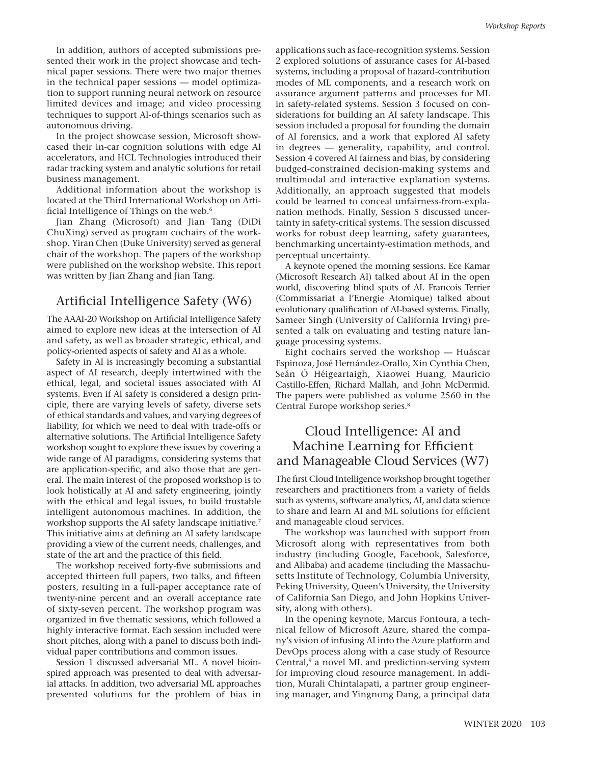In addition, authors of accepted submissions presented their work in the project showcase and technical paper sessions. There were two major themes in the technical paper sessions — model optimization to support running neural network on resource limited devices and image; and video processing techniques to support AI-of-things scenarios such as autonomous driving.

In the project showcase session, Microsoft showcased their in-car cognition solutions with edge AI accelerators, and HCL Technologies introduced their radar tracking system and analytic solutions for retail business management.

Additional information about the workshop is located at the Third International Workshop on Artificial Intelligence of Things on the web.<sup>6</sup>

Jian Zhang (Microsoft) and Jian Tang (DiDi ChuXing) served as program cochairs of the workshop. Yiran Chen (Duke University) served as general chair of the workshop. The papers of the workshop were published on the workshop website. This report was written by Jian Zhang and Jian Tang.

### Artificial Intelligence Safety (W6)

The AAAI-20 Workshop on Artificial Intelligence Safety aimed to explore new ideas at the intersection of AI and safety, as well as broader strategic, ethical, and policy-oriented aspects of safety and AI as a whole.

Safety in AI is increasingly becoming a substantial aspect of AI research, deeply intertwined with the ethical, legal, and societal issues associated with AI systems. Even if AI safety is considered a design principle, there are varying levels of safety, diverse sets of ethical standards and values, and varying degrees of liability, for which we need to deal with trade-offs or alternative solutions. The Artificial Intelligence Safety workshop sought to explore these issues by covering a wide range of AI paradigms, considering systems that are application-specific, and also those that are general. The main interest of the proposed workshop is to look holistically at AI and safety engineering, jointly with the ethical and legal issues, to build trustable intelligent autonomous machines. In addition, the workshop supports the AI safety landscape initiative.<sup>7</sup> This initiative aims at defining an AI safety landscape providing a view of the current needs, challenges, and state of the art and the practice of this field.

The workshop received forty-five submissions and accepted thirteen full papers, two talks, and fifteen posters, resulting in a full-paper acceptance rate of twenty-nine percent and an overall acceptance rate of sixty-seven percent. The workshop program was organized in five thematic sessions, which followed a highly interactive format. Each session included were short pitches, along with a panel to discuss both individual paper contributions and common issues.

Session 1 discussed adversarial ML. A novel bioinspired approach was presented to deal with adversarial attacks. In addition, two adversarial ML approaches presented solutions for the problem of bias in

applications such as face-recognition systems. Session 2 explored solutions of assurance cases for AI-based systems, including a proposal of hazard-contribution modes of ML components, and a research work on assurance argument patterns and processes for ML in safety-related systems. Session 3 focused on considerations for building an AI safety landscape. This session included a proposal for founding the domain of AI forensics, and a work that explored AI safety in degrees — generality, capability, and control. Session 4 covered AI fairness and bias, by considering budged-constrained decision-making systems and multimodal and interactive explanation systems. Additionally, an approach suggested that models could be learned to conceal unfairness-from-explanation methods. Finally, Session 5 discussed uncertainty in safety-critical systems. The session discussed works for robust deep learning, safety guarantees, benchmarking uncertainty-estimation methods, and perceptual uncertainty.

A keynote opened the morning sessions. Ece Kamar (Microsoft Research AI) talked about AI in the open world, discovering blind spots of AI. Francois Terrier (Commissariat a l'Energie Atomique) talked about evolutionary qualification of AI-based systems. Finally, Sameer Singh (University of California Irving) presented a talk on evaluating and testing nature language processing systems.

Eight cochairs served the workshop — Huáscar Espinoza, José Hernández-Orallo, Xin Cynthia Chen, Seán Ó Héigeartaigh, Xiaowei Huang, Mauricio Castillo-Effen, Richard Mallah, and John McDermid. The papers were published as volume 2560 in the Central Europe workshop series.8

## Cloud Intelligence: AI and Machine Learning for Efficient and Manageable Cloud Services (W7)

The first Cloud Intelligence workshop brought together researchers and practitioners from a variety of fields such as systems, software analytics, AI, and data science to share and learn AI and ML solutions for efficient and manageable cloud services.

The workshop was launched with support from Microsoft along with representatives from both industry (including Google, Facebook, Salesforce, and Alibaba) and academe (including the Massachusetts Institute of Technology, Columbia University, Peking University, Queen's University, the University of California San Diego, and John Hopkins University, along with others).

In the opening keynote, Marcus Fontoura, a technical fellow of Microsoft Azure, shared the company's vision of infusing AI into the Azure platform and DevOps process along with a case study of Resource Central,<sup>9</sup> a novel ML and prediction-serving system for improving cloud resource management. In addition, Murali Chintalapati, a partner group engineering manager, and Yingnong Dang, a principal data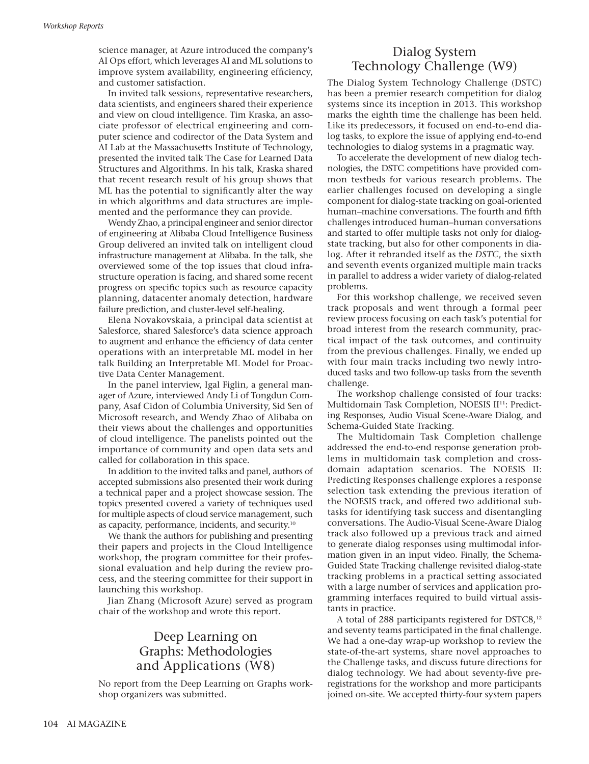science manager, at Azure introduced the company's AI Ops effort, which leverages AI and ML solutions to improve system availability, engineering efficiency, and customer satisfaction.

In invited talk sessions, representative researchers, data scientists, and engineers shared their experience and view on cloud intelligence. Tim Kraska, an associate professor of electrical engineering and computer science and codirector of the Data System and AI Lab at the Massachusetts Institute of Technology, presented the invited talk The Case for Learned Data Structures and Algorithms. In his talk, Kraska shared that recent research result of his group shows that ML has the potential to significantly alter the way in which algorithms and data structures are implemented and the performance they can provide.

Wendy Zhao, a principal engineer and senior director of engineering at Alibaba Cloud Intelligence Business Group delivered an invited talk on intelligent cloud infrastructure management at Alibaba. In the talk, she overviewed some of the top issues that cloud infrastructure operation is facing, and shared some recent progress on specific topics such as resource capacity planning, datacenter anomaly detection, hardware failure prediction, and cluster-level self-healing.

Elena Novakovskaia, a principal data scientist at Salesforce, shared Salesforce's data science approach to augment and enhance the efficiency of data center operations with an interpretable ML model in her talk Building an Interpretable ML Model for Proactive Data Center Management.

In the panel interview, Igal Figlin, a general manager of Azure, interviewed Andy Li of Tongdun Company, Asaf Cidon of Columbia University, Sid Sen of Microsoft research, and Wendy Zhao of Alibaba on their views about the challenges and opportunities of cloud intelligence. The panelists pointed out the importance of community and open data sets and called for collaboration in this space.

In addition to the invited talks and panel, authors of accepted submissions also presented their work during a technical paper and a project showcase session. The topics presented covered a variety of techniques used for multiple aspects of cloud service management, such as capacity, performance, incidents, and security.10

We thank the authors for publishing and presenting their papers and projects in the Cloud Intelligence workshop, the program committee for their professional evaluation and help during the review process, and the steering committee for their support in launching this workshop.

Jian Zhang (Microsoft Azure) served as program chair of the workshop and wrote this report.

## Deep Learning on Graphs: Methodologies and Applications (W8)

No report from the Deep Learning on Graphs workshop organizers was submitted.

## Dialog System Technology Challenge (W9)

The Dialog System Technology Challenge (DSTC) has been a premier research competition for dialog systems since its inception in 2013. This workshop marks the eighth time the challenge has been held. Like its predecessors, it focused on end-to-end dialog tasks, to explore the issue of applying end-to-end technologies to dialog systems in a pragmatic way.

To accelerate the development of new dialog technologies, the DSTC competitions have provided common testbeds for various research problems. The earlier challenges focused on developing a single component for dialog-state tracking on goal-oriented human–machine conversations. The fourth and fifth challenges introduced human–human conversations and started to offer multiple tasks not only for dialogstate tracking, but also for other components in dialog. After it rebranded itself as the *DSTC*, the sixth and seventh events organized multiple main tracks in parallel to address a wider variety of dialog-related problems.

For this workshop challenge, we received seven track proposals and went through a formal peer review process focusing on each task's potential for broad interest from the research community, practical impact of the task outcomes, and continuity from the previous challenges. Finally, we ended up with four main tracks including two newly introduced tasks and two follow-up tasks from the seventh challenge.

The workshop challenge consisted of four tracks: Multidomain Task Completion, NOESIS II<sup>11</sup>: Predicting Responses, Audio Visual Scene-Aware Dialog, and Schema-Guided State Tracking.

The Multidomain Task Completion challenge addressed the end-to-end response generation problems in multidomain task completion and crossdomain adaptation scenarios. The NOESIS II: Predicting Responses challenge explores a response selection task extending the previous iteration of the NOESIS track, and offered two additional subtasks for identifying task success and disentangling conversations. The Audio-Visual Scene-Aware Dialog track also followed up a previous track and aimed to generate dialog responses using multimodal information given in an input video. Finally, the Schema-Guided State Tracking challenge revisited dialog-state tracking problems in a practical setting associated with a large number of services and application programming interfaces required to build virtual assistants in practice.

A total of 288 participants registered for DSTC8,<sup>12</sup> and seventy teams participated in the final challenge. We had a one-day wrap-up workshop to review the state-of-the-art systems, share novel approaches to the Challenge tasks, and discuss future directions for dialog technology. We had about seventy-five preregistrations for the workshop and more participants joined on-site. We accepted thirty-four system papers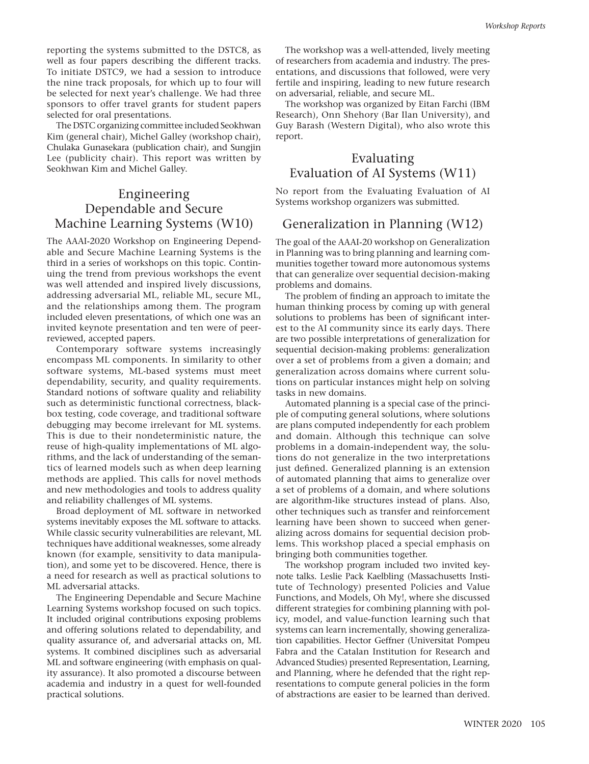reporting the systems submitted to the DSTC8, as well as four papers describing the different tracks. To initiate DSTC9, we had a session to introduce the nine track proposals, for which up to four will be selected for next year's challenge. We had three sponsors to offer travel grants for student papers selected for oral presentations.

The DSTC organizing committee included Seokhwan Kim (general chair), Michel Galley (workshop chair), Chulaka Gunasekara (publication chair), and Sungjin Lee (publicity chair). This report was written by Seokhwan Kim and Michel Galley.

## Engineering Dependable and Secure Machine Learning Systems (W10)

The AAAI-2020 Workshop on Engineering Dependable and Secure Machine Learning Systems is the third in a series of workshops on this topic. Continuing the trend from previous workshops the event was well attended and inspired lively discussions, addressing adversarial ML, reliable ML, secure ML, and the relationships among them. The program included eleven presentations, of which one was an invited keynote presentation and ten were of peerreviewed, accepted papers.

Contemporary software systems increasingly encompass ML components. In similarity to other software systems, ML-based systems must meet dependability, security, and quality requirements. Standard notions of software quality and reliability such as deterministic functional correctness, blackbox testing, code coverage, and traditional software debugging may become irrelevant for ML systems. This is due to their nondeterministic nature, the reuse of high-quality implementations of ML algorithms, and the lack of understanding of the semantics of learned models such as when deep learning methods are applied. This calls for novel methods and new methodologies and tools to address quality and reliability challenges of ML systems.

Broad deployment of ML software in networked systems inevitably exposes the ML software to attacks. While classic security vulnerabilities are relevant, ML techniques have additional weaknesses, some already known (for example, sensitivity to data manipulation), and some yet to be discovered. Hence, there is a need for research as well as practical solutions to ML adversarial attacks.

The Engineering Dependable and Secure Machine Learning Systems workshop focused on such topics. It included original contributions exposing problems and offering solutions related to dependability, and quality assurance of, and adversarial attacks on, ML systems. It combined disciplines such as adversarial ML and software engineering (with emphasis on quality assurance). It also promoted a discourse between academia and industry in a quest for well-founded practical solutions.

The workshop was a well-attended, lively meeting of researchers from academia and industry. The presentations, and discussions that followed, were very fertile and inspiring, leading to new future research on adversarial, reliable, and secure ML.

The workshop was organized by Eitan Farchi (IBM Research), Onn Shehory (Bar Ilan University), and Guy Barash (Western Digital), who also wrote this report.

## Evaluating Evaluation of AI Systems (W11)

No report from the Evaluating Evaluation of AI Systems workshop organizers was submitted.

## Generalization in Planning (W12)

The goal of the AAAI-20 workshop on Generalization in Planning was to bring planning and learning communities together toward more autonomous systems that can generalize over sequential decision-making problems and domains.

The problem of finding an approach to imitate the human thinking process by coming up with general solutions to problems has been of significant interest to the AI community since its early days. There are two possible interpretations of generalization for sequential decision-making problems: generalization over a set of problems from a given a domain; and generalization across domains where current solutions on particular instances might help on solving tasks in new domains.

Automated planning is a special case of the principle of computing general solutions, where solutions are plans computed independently for each problem and domain. Although this technique can solve problems in a domain-independent way, the solutions do not generalize in the two interpretations just defined. Generalized planning is an extension of automated planning that aims to generalize over a set of problems of a domain, and where solutions are algorithm-like structures instead of plans. Also, other techniques such as transfer and reinforcement learning have been shown to succeed when generalizing across domains for sequential decision problems. This workshop placed a special emphasis on bringing both communities together.

The workshop program included two invited keynote talks. Leslie Pack Kaelbling (Massachusetts Institute of Technology) presented Policies and Value Functions, and Models, Oh My!, where she discussed different strategies for combining planning with policy, model, and value-function learning such that systems can learn incrementally, showing generalization capabilities. Hector Geffner (Universitat Pompeu Fabra and the Catalan Institution for Research and Advanced Studies) presented Representation, Learning, and Planning, where he defended that the right representations to compute general policies in the form of abstractions are easier to be learned than derived.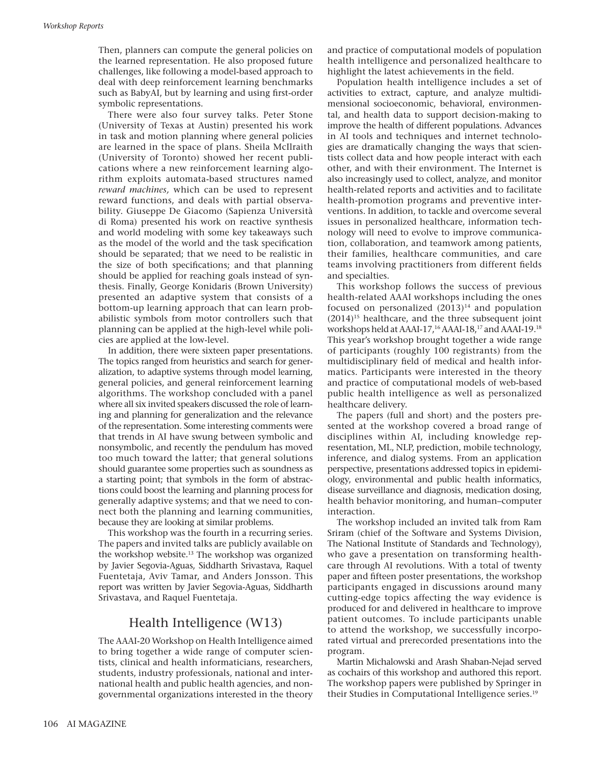Then, planners can compute the general policies on the learned representation. He also proposed future challenges, like following a model-based approach to deal with deep reinforcement learning benchmarks such as BabyAI, but by learning and using first-order symbolic representations.

There were also four survey talks. Peter Stone (University of Texas at Austin) presented his work in task and motion planning where general policies are learned in the space of plans. Sheila McIlraith (University of Toronto) showed her recent publications where a new reinforcement learning algorithm exploits automata-based structures named *reward machines,* which can be used to represent reward functions, and deals with partial observability. Giuseppe De Giacomo (Sapienza Università di Roma) presented his work on reactive synthesis and world modeling with some key takeaways such as the model of the world and the task specification should be separated; that we need to be realistic in the size of both specifications; and that planning should be applied for reaching goals instead of synthesis. Finally, George Konidaris (Brown University) presented an adaptive system that consists of a bottom-up learning approach that can learn probabilistic symbols from motor controllers such that planning can be applied at the high-level while policies are applied at the low-level.

In addition, there were sixteen paper presentations. The topics ranged from heuristics and search for generalization, to adaptive systems through model learning, general policies, and general reinforcement learning algorithms. The workshop concluded with a panel where all six invited speakers discussed the role of learning and planning for generalization and the relevance of the representation. Some interesting comments were that trends in AI have swung between symbolic and nonsymbolic, and recently the pendulum has moved too much toward the latter; that general solutions should guarantee some properties such as soundness as a starting point; that symbols in the form of abstractions could boost the learning and planning process for generally adaptive systems; and that we need to connect both the planning and learning communities, because they are looking at similar problems.

This workshop was the fourth in a recurring series. The papers and invited talks are publicly available on the workshop website.13 The workshop was organized by Javier Segovia-Aguas, Siddharth Srivastava, Raquel Fuentetaja, Aviv Tamar, and Anders Jonsson. This report was written by Javier Segovia-Aguas, Siddharth Srivastava, and Raquel Fuentetaja.

#### Health Intelligence (W13)

The AAAI-20 Workshop on Health Intelligence aimed to bring together a wide range of computer scientists, clinical and health informaticians, researchers, students, industry professionals, national and international health and public health agencies, and nongovernmental organizations interested in the theory and practice of computational models of population health intelligence and personalized healthcare to highlight the latest achievements in the field.

Population health intelligence includes a set of activities to extract, capture, and analyze multidimensional socioeconomic, behavioral, environmental, and health data to support decision-making to improve the health of different populations. Advances in AI tools and techniques and internet technologies are dramatically changing the ways that scientists collect data and how people interact with each other, and with their environment. The Internet is also increasingly used to collect, analyze, and monitor health-related reports and activities and to facilitate health-promotion programs and preventive interventions. In addition, to tackle and overcome several issues in personalized healthcare, information technology will need to evolve to improve communication, collaboration, and teamwork among patients, their families, healthcare communities, and care teams involving practitioners from different fields and specialties.

This workshop follows the success of previous health-related AAAI workshops including the ones focused on personalized  $(2013)^{14}$  and population  $(2014)^{15}$  healthcare, and the three subsequent joint workshops held at AAAI-17,<sup>16</sup> AAAI-18,<sup>17</sup> and AAAI-19.<sup>18</sup> This year's workshop brought together a wide range of participants (roughly 100 registrants) from the multidisciplinary field of medical and health informatics. Participants were interested in the theory and practice of computational models of web-based public health intelligence as well as personalized healthcare delivery.

The papers (full and short) and the posters presented at the workshop covered a broad range of disciplines within AI, including knowledge representation, ML, NLP, prediction, mobile technology, inference, and dialog systems. From an application perspective, presentations addressed topics in epidemiology, environmental and public health informatics, disease surveillance and diagnosis, medication dosing, health behavior monitoring, and human–computer interaction.

The workshop included an invited talk from Ram Sriram (chief of the Software and Systems Division, The National Institute of Standards and Technology), who gave a presentation on transforming healthcare through AI revolutions. With a total of twenty paper and fifteen poster presentations, the workshop participants engaged in discussions around many cutting-edge topics affecting the way evidence is produced for and delivered in healthcare to improve patient outcomes. To include participants unable to attend the workshop, we successfully incorporated virtual and prerecorded presentations into the program.

Martin Michalowski and Arash Shaban-Nejad served as cochairs of this workshop and authored this report. The workshop papers were published by Springer in their Studies in Computational Intelligence series.19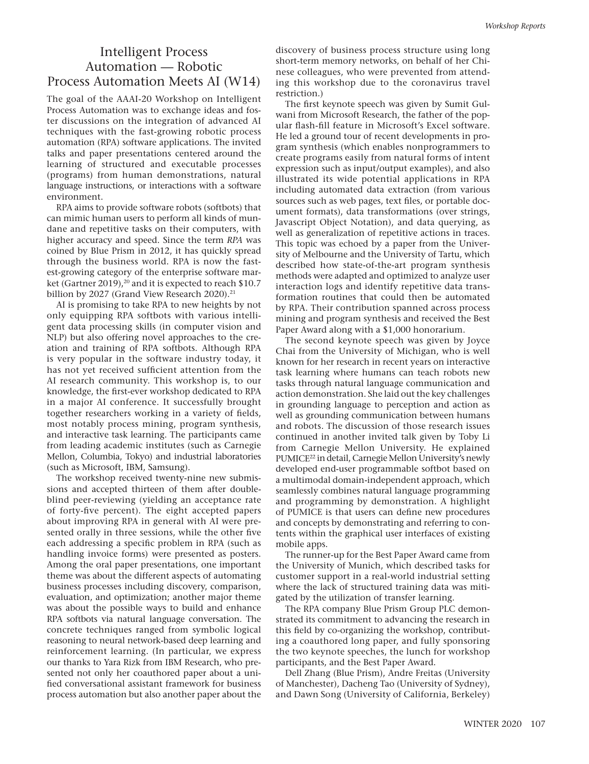## Intelligent Process Automation — Robotic Process Automation Meets AI (W14)

The goal of the AAAI-20 Workshop on Intelligent Process Automation was to exchange ideas and foster discussions on the integration of advanced AI techniques with the fast-growing robotic process automation (RPA) software applications. The invited talks and paper presentations centered around the learning of structured and executable processes (programs) from human demonstrations, natural language instructions, or interactions with a software environment.

RPA aims to provide software robots (softbots) that can mimic human users to perform all kinds of mundane and repetitive tasks on their computers, with higher accuracy and speed. Since the term *RPA* was coined by Blue Prism in 2012, it has quickly spread through the business world. RPA is now the fastest-growing category of the enterprise software market (Gartner 2019),<sup>20</sup> and it is expected to reach \$10.7 billion by 2027 (Grand View Research 2020).<sup>21</sup>

AI is promising to take RPA to new heights by not only equipping RPA softbots with various intelligent data processing skills (in computer vision and NLP) but also offering novel approaches to the creation and training of RPA softbots. Although RPA is very popular in the software industry today, it has not yet received sufficient attention from the AI research community. This workshop is, to our knowledge, the first-ever workshop dedicated to RPA in a major AI conference. It successfully brought together researchers working in a variety of fields, most notably process mining, program synthesis, and interactive task learning. The participants came from leading academic institutes (such as Carnegie Mellon, Columbia, Tokyo) and industrial laboratories (such as Microsoft, IBM, Samsung).

The workshop received twenty-nine new submissions and accepted thirteen of them after doubleblind peer-reviewing (yielding an acceptance rate of forty-five percent). The eight accepted papers about improving RPA in general with AI were presented orally in three sessions, while the other five each addressing a specific problem in RPA (such as handling invoice forms) were presented as posters. Among the oral paper presentations, one important theme was about the different aspects of automating business processes including discovery, comparison, evaluation, and optimization; another major theme was about the possible ways to build and enhance RPA softbots via natural language conversation. The concrete techniques ranged from symbolic logical reasoning to neural network-based deep learning and reinforcement learning. (In particular, we express our thanks to Yara Rizk from IBM Research, who presented not only her coauthored paper about a unified conversational assistant framework for business process automation but also another paper about the

discovery of business process structure using long short-term memory networks, on behalf of her Chinese colleagues, who were prevented from attending this workshop due to the coronavirus travel restriction.)

The first keynote speech was given by Sumit Gulwani from Microsoft Research, the father of the popular flash-fill feature in Microsoft's Excel software. He led a ground tour of recent developments in program synthesis (which enables nonprogrammers to create programs easily from natural forms of intent expression such as input/output examples), and also illustrated its wide potential applications in RPA including automated data extraction (from various sources such as web pages, text files, or portable document formats), data transformations (over strings, Javascript Object Notation), and data querying, as well as generalization of repetitive actions in traces. This topic was echoed by a paper from the University of Melbourne and the University of Tartu, which described how state-of-the-art program synthesis methods were adapted and optimized to analyze user interaction logs and identify repetitive data transformation routines that could then be automated by RPA. Their contribution spanned across process mining and program synthesis and received the Best Paper Award along with a \$1,000 honorarium.

The second keynote speech was given by Joyce Chai from the University of Michigan, who is well known for her research in recent years on interactive task learning where humans can teach robots new tasks through natural language communication and action demonstration. She laid out the key challenges in grounding language to perception and action as well as grounding communication between humans and robots. The discussion of those research issues continued in another invited talk given by Toby Li from Carnegie Mellon University. He explained PUMICE22 in detail, Carnegie Mellon University's newly developed end-user programmable softbot based on a multimodal domain-independent approach, which seamlessly combines natural language programming and programming by demonstration. A highlight of PUMICE is that users can define new procedures and concepts by demonstrating and referring to contents within the graphical user interfaces of existing mobile apps.

The runner-up for the Best Paper Award came from the University of Munich, which described tasks for customer support in a real-world industrial setting where the lack of structured training data was mitigated by the utilization of transfer learning.

The RPA company Blue Prism Group PLC demonstrated its commitment to advancing the research in this field by co-organizing the workshop, contributing a coauthored long paper, and fully sponsoring the two keynote speeches, the lunch for workshop participants, and the Best Paper Award.

Dell Zhang (Blue Prism), Andre Freitas (University of Manchester), Dacheng Tao (University of Sydney), and Dawn Song (University of California, Berkeley)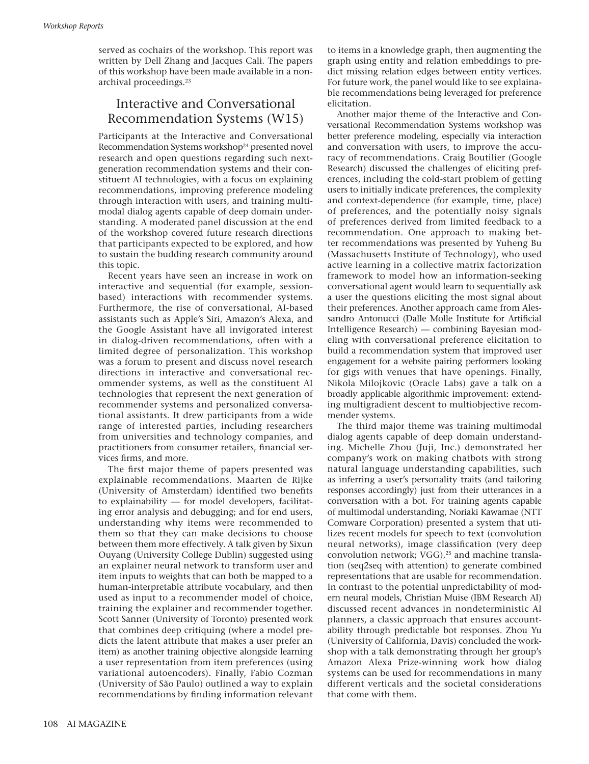served as cochairs of the workshop. This report was written by Dell Zhang and Jacques Cali. The papers of this workshop have been made available in a nonarchival proceedings.<sup>23</sup>

## Interactive and Conversational Recommendation Systems (W15)

Participants at the Interactive and Conversational Recommendation Systems workshop<sup>24</sup> presented novel research and open questions regarding such nextgeneration recommendation systems and their constituent AI technologies, with a focus on explaining recommendations, improving preference modeling through interaction with users, and training multimodal dialog agents capable of deep domain understanding. A moderated panel discussion at the end of the workshop covered future research directions that participants expected to be explored, and how to sustain the budding research community around this topic.

Recent years have seen an increase in work on interactive and sequential (for example, sessionbased) interactions with recommender systems. Furthermore, the rise of conversational, AI-based assistants such as Apple's Siri, Amazon's Alexa, and the Google Assistant have all invigorated interest in dialog-driven recommendations, often with a limited degree of personalization. This workshop was a forum to present and discuss novel research directions in interactive and conversational recommender systems, as well as the constituent AI technologies that represent the next generation of recommender systems and personalized conversational assistants. It drew participants from a wide range of interested parties, including researchers from universities and technology companies, and practitioners from consumer retailers, financial services firms, and more.

The first major theme of papers presented was explainable recommendations. Maarten de Rijke (University of Amsterdam) identified two benefits to explainability — for model developers, facilitating error analysis and debugging; and for end users, understanding why items were recommended to them so that they can make decisions to choose between them more effectively. A talk given by Sixun Ouyang (University College Dublin) suggested using an explainer neural network to transform user and item inputs to weights that can both be mapped to a human-interpretable attribute vocabulary, and then used as input to a recommender model of choice, training the explainer and recommender together. Scott Sanner (University of Toronto) presented work that combines deep critiquing (where a model predicts the latent attribute that makes a user prefer an item) as another training objective alongside learning a user representation from item preferences (using variational autoencoders). Finally, Fabio Cozman (University of São Paulo) outlined a way to explain recommendations by finding information relevant to items in a knowledge graph, then augmenting the graph using entity and relation embeddings to predict missing relation edges between entity vertices. For future work, the panel would like to see explainable recommendations being leveraged for preference elicitation.

Another major theme of the Interactive and Conversational Recommendation Systems workshop was better preference modeling, especially via interaction and conversation with users, to improve the accuracy of recommendations. Craig Boutilier (Google Research) discussed the challenges of eliciting preferences, including the cold-start problem of getting users to initially indicate preferences, the complexity and context-dependence (for example, time, place) of preferences, and the potentially noisy signals of preferences derived from limited feedback to a recommendation. One approach to making better recommendations was presented by Yuheng Bu (Massachusetts Institute of Technology), who used active learning in a collective matrix factorization framework to model how an information-seeking conversational agent would learn to sequentially ask a user the questions eliciting the most signal about their preferences. Another approach came from Alessandro Antonucci (Dalle Molle Institute for Artificial Intelligence Research) — combining Bayesian modeling with conversational preference elicitation to build a recommendation system that improved user engagement for a website pairing performers looking for gigs with venues that have openings. Finally, Nikola Milojkovic (Oracle Labs) gave a talk on a broadly applicable algorithmic improvement: extending multigradient descent to multiobjective recommender systems.

The third major theme was training multimodal dialog agents capable of deep domain understanding. Michelle Zhou (Juji, Inc.) demonstrated her company's work on making chatbots with strong natural language understanding capabilities, such as inferring a user's personality traits (and tailoring responses accordingly) just from their utterances in a conversation with a bot. For training agents capable of multimodal understanding, Noriaki Kawamae (NTT Comware Corporation) presented a system that utilizes recent models for speech to text (convolution neural networks), image classification (very deep convolution network; VGG), $25$  and machine translation (seq2seq with attention) to generate combined representations that are usable for recommendation. In contrast to the potential unpredictability of modern neural models, Christian Muise (IBM Research AI) discussed recent advances in nondeterministic AI planners, a classic approach that ensures accountability through predictable bot responses. Zhou Yu (University of California, Davis) concluded the workshop with a talk demonstrating through her group's Amazon Alexa Prize-winning work how dialog systems can be used for recommendations in many different verticals and the societal considerations that come with them.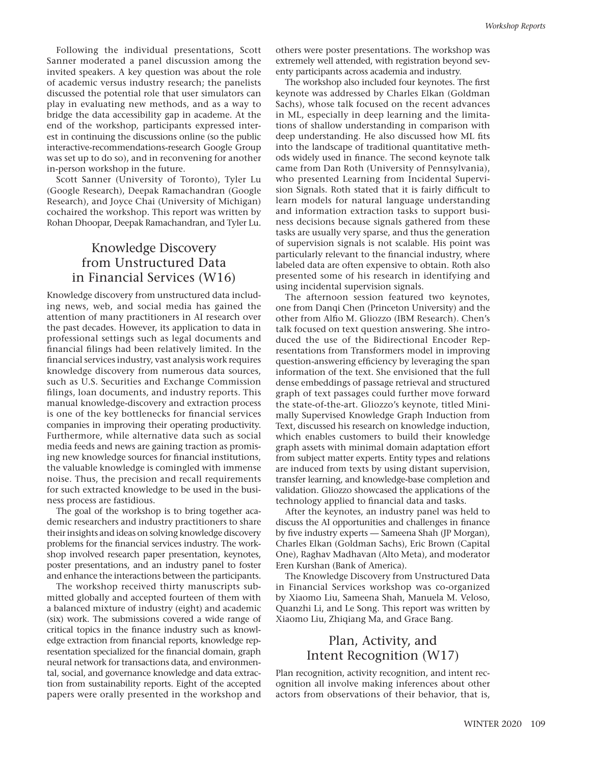Following the individual presentations, Scott Sanner moderated a panel discussion among the invited speakers. A key question was about the role of academic versus industry research; the panelists discussed the potential role that user simulators can play in evaluating new methods, and as a way to bridge the data accessibility gap in academe. At the end of the workshop, participants expressed interest in continuing the discussions online (so the public interactive-recommendations-research Google Group was set up to do so), and in reconvening for another in-person workshop in the future.

Scott Sanner (University of Toronto), Tyler Lu (Google Research), Deepak Ramachandran (Google Research), and Joyce Chai (University of Michigan) cochaired the workshop. This report was written by Rohan Dhoopar, Deepak Ramachandran, and Tyler Lu.

## Knowledge Discovery from Unstructured Data in Financial Services (W16)

Knowledge discovery from unstructured data including news, web, and social media has gained the attention of many practitioners in AI research over the past decades. However, its application to data in professional settings such as legal documents and financial filings had been relatively limited. In the financial services industry, vast analysis work requires knowledge discovery from numerous data sources, such as U.S. Securities and Exchange Commission filings, loan documents, and industry reports. This manual knowledge-discovery and extraction process is one of the key bottlenecks for financial services companies in improving their operating productivity. Furthermore, while alternative data such as social media feeds and news are gaining traction as promising new knowledge sources for financial institutions, the valuable knowledge is comingled with immense noise. Thus, the precision and recall requirements for such extracted knowledge to be used in the business process are fastidious.

The goal of the workshop is to bring together academic researchers and industry practitioners to share their insights and ideas on solving knowledge discovery problems for the financial services industry. The workshop involved research paper presentation, keynotes, poster presentations, and an industry panel to foster and enhance the interactions between the participants.

The workshop received thirty manuscripts submitted globally and accepted fourteen of them with a balanced mixture of industry (eight) and academic (six) work. The submissions covered a wide range of critical topics in the finance industry such as knowledge extraction from financial reports, knowledge representation specialized for the financial domain, graph neural network for transactions data, and environmental, social, and governance knowledge and data extraction from sustainability reports. Eight of the accepted papers were orally presented in the workshop and

others were poster presentations. The workshop was extremely well attended, with registration beyond seventy participants across academia and industry.

The workshop also included four keynotes. The first keynote was addressed by Charles Elkan (Goldman Sachs), whose talk focused on the recent advances in ML, especially in deep learning and the limitations of shallow understanding in comparison with deep understanding. He also discussed how ML fits into the landscape of traditional quantitative methods widely used in finance. The second keynote talk came from Dan Roth (University of Pennsylvania), who presented Learning from Incidental Supervision Signals. Roth stated that it is fairly difficult to learn models for natural language understanding and information extraction tasks to support business decisions because signals gathered from these tasks are usually very sparse, and thus the generation of supervision signals is not scalable. His point was particularly relevant to the financial industry, where labeled data are often expensive to obtain. Roth also presented some of his research in identifying and using incidental supervision signals.

The afternoon session featured two keynotes, one from Danqi Chen (Princeton University) and the other from Alfio M. Gliozzo (IBM Research). Chen's talk focused on text question answering. She introduced the use of the Bidirectional Encoder Representations from Transformers model in improving question-answering efficiency by leveraging the span information of the text. She envisioned that the full dense embeddings of passage retrieval and structured graph of text passages could further move forward the state-of-the-art. Gliozzo's keynote, titled Minimally Supervised Knowledge Graph Induction from Text, discussed his research on knowledge induction, which enables customers to build their knowledge graph assets with minimal domain adaptation effort from subject matter experts. Entity types and relations are induced from texts by using distant supervision, transfer learning, and knowledge-base completion and validation. Gliozzo showcased the applications of the technology applied to financial data and tasks.

After the keynotes, an industry panel was held to discuss the AI opportunities and challenges in finance by five industry experts — Sameena Shah (JP Morgan), Charles Elkan (Goldman Sachs), Eric Brown (Capital One), Raghav Madhavan (Alto Meta), and moderator Eren Kurshan (Bank of America).

The Knowledge Discovery from Unstructured Data in Financial Services workshop was co-organized by Xiaomo Liu, Sameena Shah, Manuela M. Veloso, Quanzhi Li, and Le Song. This report was written by Xiaomo Liu, Zhiqiang Ma, and Grace Bang.

## Plan, Activity, and Intent Recognition (W17)

Plan recognition, activity recognition, and intent recognition all involve making inferences about other actors from observations of their behavior, that is,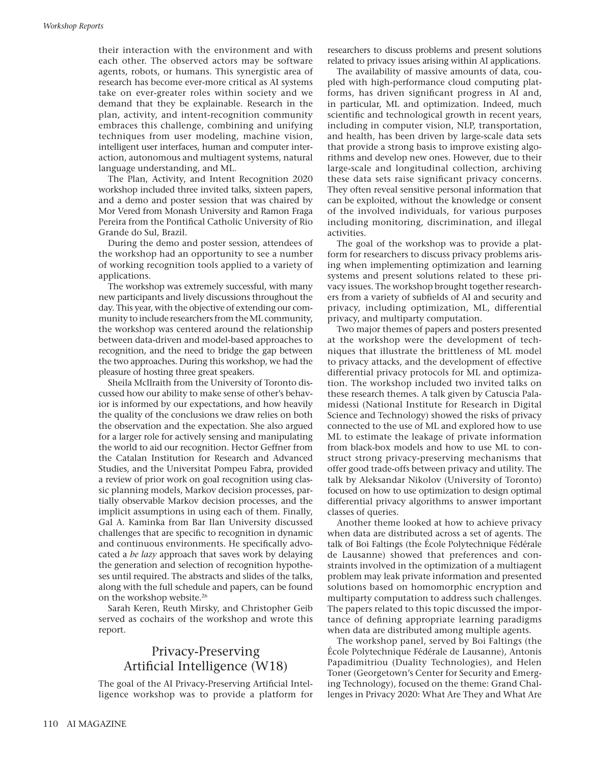their interaction with the environment and with each other. The observed actors may be software agents, robots, or humans. This synergistic area of research has become ever-more critical as AI systems take on ever-greater roles within society and we demand that they be explainable. Research in the plan, activity, and intent-recognition community embraces this challenge, combining and unifying techniques from user modeling, machine vision, intelligent user interfaces, human and computer interaction, autonomous and multiagent systems, natural language understanding, and ML.

The Plan, Activity, and Intent Recognition 2020 workshop included three invited talks, sixteen papers, and a demo and poster session that was chaired by Mor Vered from Monash University and Ramon Fraga Pereira from the Pontifical Catholic University of Rio Grande do Sul, Brazil.

During the demo and poster session, attendees of the workshop had an opportunity to see a number of working recognition tools applied to a variety of applications.

The workshop was extremely successful, with many new participants and lively discussions throughout the day. This year, with the objective of extending our community to include researchers from the ML community, the workshop was centered around the relationship between data-driven and model-based approaches to recognition, and the need to bridge the gap between the two approaches. During this workshop, we had the pleasure of hosting three great speakers.

Sheila McIlraith from the University of Toronto discussed how our ability to make sense of other's behavior is informed by our expectations, and how heavily the quality of the conclusions we draw relies on both the observation and the expectation. She also argued for a larger role for actively sensing and manipulating the world to aid our recognition. Hector Geffner from the Catalan Institution for Research and Advanced Studies, and the Universitat Pompeu Fabra, provided a review of prior work on goal recognition using classic planning models, Markov decision processes, partially observable Markov decision processes, and the implicit assumptions in using each of them. Finally, Gal A. Kaminka from Bar Ilan University discussed challenges that are specific to recognition in dynamic and continuous environments. He specifically advocated a *be lazy* approach that saves work by delaying the generation and selection of recognition hypotheses until required. The abstracts and slides of the talks, along with the full schedule and papers, can be found on the workshop website.26

Sarah Keren, Reuth Mirsky, and Christopher Geib served as cochairs of the workshop and wrote this report.

## Privacy-Preserving Artificial Intelligence (W18)

The goal of the AI Privacy-Preserving Artificial Intelligence workshop was to provide a platform for researchers to discuss problems and present solutions related to privacy issues arising within AI applications.

The availability of massive amounts of data, coupled with high-performance cloud computing platforms, has driven significant progress in AI and, in particular, ML and optimization. Indeed, much scientific and technological growth in recent years, including in computer vision, NLP, transportation, and health, has been driven by large-scale data sets that provide a strong basis to improve existing algorithms and develop new ones. However, due to their large-scale and longitudinal collection, archiving these data sets raise significant privacy concerns. They often reveal sensitive personal information that can be exploited, without the knowledge or consent of the involved individuals, for various purposes including monitoring, discrimination, and illegal activities.

The goal of the workshop was to provide a platform for researchers to discuss privacy problems arising when implementing optimization and learning systems and present solutions related to these privacy issues. The workshop brought together researchers from a variety of subfields of AI and security and privacy, including optimization, ML, differential privacy, and multiparty computation.

Two major themes of papers and posters presented at the workshop were the development of techniques that illustrate the brittleness of ML model to privacy attacks, and the development of effective differential privacy protocols for ML and optimization. The workshop included two invited talks on these research themes. A talk given by Catuscia Palamidessi (National Institute for Research in Digital Science and Technology) showed the risks of privacy connected to the use of ML and explored how to use ML to estimate the leakage of private information from black-box models and how to use ML to construct strong privacy-preserving mechanisms that offer good trade-offs between privacy and utility. The talk by Aleksandar Nikolov (University of Toronto) focused on how to use optimization to design optimal differential privacy algorithms to answer important classes of queries.

Another theme looked at how to achieve privacy when data are distributed across a set of agents. The talk of Boi Faltings (the École Polytechnique Fédérale de Lausanne) showed that preferences and constraints involved in the optimization of a multiagent problem may leak private information and presented solutions based on homomorphic encryption and multiparty computation to address such challenges. The papers related to this topic discussed the importance of defining appropriate learning paradigms when data are distributed among multiple agents.

The workshop panel, served by Boi Faltings (the École Polytechnique Fédérale de Lausanne), Antonis Papadimitriou (Duality Technologies), and Helen Toner (Georgetown's Center for Security and Emerging Technology), focused on the theme: Grand Challenges in Privacy 2020: What Are They and What Are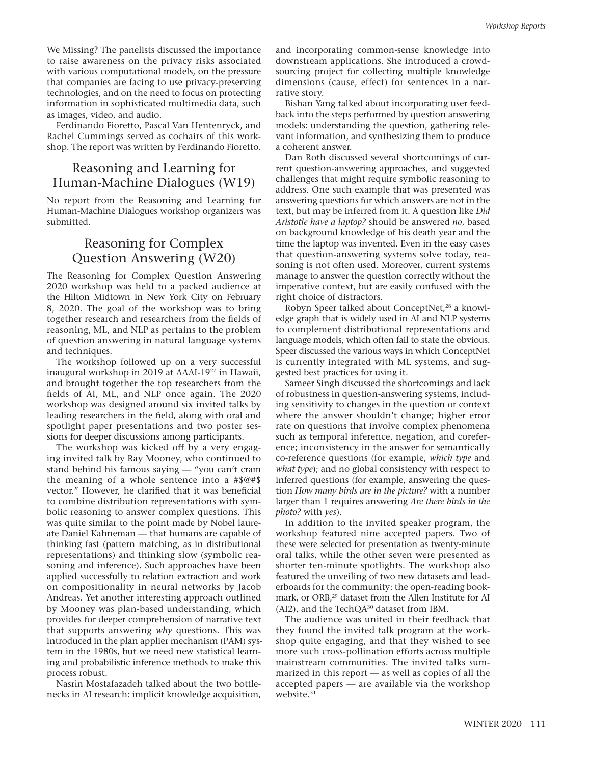We Missing? The panelists discussed the importance to raise awareness on the privacy risks associated with various computational models, on the pressure that companies are facing to use privacy-preserving technologies, and on the need to focus on protecting information in sophisticated multimedia data, such as images, video, and audio.

Ferdinando Fioretto, Pascal Van Hentenryck, and Rachel Cummings served as cochairs of this workshop. The report was written by Ferdinando Fioretto.

## Reasoning and Learning for Human-Machine Dialogues (W19)

No report from the Reasoning and Learning for Human-Machine Dialogues workshop organizers was submitted.

## Reasoning for Complex Question Answering (W20)

The Reasoning for Complex Question Answering 2020 workshop was held to a packed audience at the Hilton Midtown in New York City on February 8, 2020. The goal of the workshop was to bring together research and researchers from the fields of reasoning, ML, and NLP as pertains to the problem of question answering in natural language systems and techniques.

The workshop followed up on a very successful inaugural workshop in 2019 at AAAI-1927 in Hawaii, and brought together the top researchers from the fields of AI, ML, and NLP once again. The 2020 workshop was designed around six invited talks by leading researchers in the field, along with oral and spotlight paper presentations and two poster sessions for deeper discussions among participants.

The workshop was kicked off by a very engaging invited talk by Ray Mooney, who continued to stand behind his famous saying — "you can't cram the meaning of a whole sentence into a #\$@#\$ vector." However, he clarified that it was beneficial to combine distribution representations with symbolic reasoning to answer complex questions. This was quite similar to the point made by Nobel laureate Daniel Kahneman — that humans are capable of thinking fast (pattern matching, as in distributional representations) and thinking slow (symbolic reasoning and inference). Such approaches have been applied successfully to relation extraction and work on compositionality in neural networks by Jacob Andreas. Yet another interesting approach outlined by Mooney was plan-based understanding, which provides for deeper comprehension of narrative text that supports answering *why* questions. This was introduced in the plan applier mechanism (PAM) system in the 1980s, but we need new statistical learning and probabilistic inference methods to make this process robust.

Nasrin Mostafazadeh talked about the two bottlenecks in AI research: implicit knowledge acquisition, and incorporating common-sense knowledge into downstream applications. She introduced a crowdsourcing project for collecting multiple knowledge dimensions (cause, effect) for sentences in a narrative story.

Bishan Yang talked about incorporating user feedback into the steps performed by question answering models: understanding the question, gathering relevant information, and synthesizing them to produce a coherent answer.

Dan Roth discussed several shortcomings of current question-answering approaches, and suggested challenges that might require symbolic reasoning to address. One such example that was presented was answering questions for which answers are not in the text, but may be inferred from it. A question like *Did Aristotle have a laptop?* should be answered *no*, based on background knowledge of his death year and the time the laptop was invented. Even in the easy cases that question-answering systems solve today, reasoning is not often used. Moreover, current systems manage to answer the question correctly without the imperative context, but are easily confused with the right choice of distractors.

Robyn Speer talked about ConceptNet,<sup>28</sup> a knowledge graph that is widely used in AI and NLP systems to complement distributional representations and language models, which often fail to state the obvious. Speer discussed the various ways in which ConceptNet is currently integrated with ML systems, and suggested best practices for using it.

Sameer Singh discussed the shortcomings and lack of robustness in question-answering systems, including sensitivity to changes in the question or context where the answer shouldn't change; higher error rate on questions that involve complex phenomena such as temporal inference, negation, and coreference; inconsistency in the answer for semantically co-reference questions (for example, *which type* and *what type*); and no global consistency with respect to inferred questions (for example, answering the question *How many birds are in the picture?* with a number larger than 1 requires answering *Are there birds in the photo?* with *yes*).

In addition to the invited speaker program, the workshop featured nine accepted papers. Two of these were selected for presentation as twenty-minute oral talks, while the other seven were presented as shorter ten-minute spotlights. The workshop also featured the unveiling of two new datasets and leaderboards for the community: the open-reading bookmark, or ORB,<sup>29</sup> dataset from the Allen Institute for AI (AI2), and the TechQA30 dataset from IBM.

The audience was united in their feedback that they found the invited talk program at the workshop quite engaging, and that they wished to see more such cross-pollination efforts across multiple mainstream communities. The invited talks summarized in this report — as well as copies of all the accepted papers — are available via the workshop website.<sup>31</sup>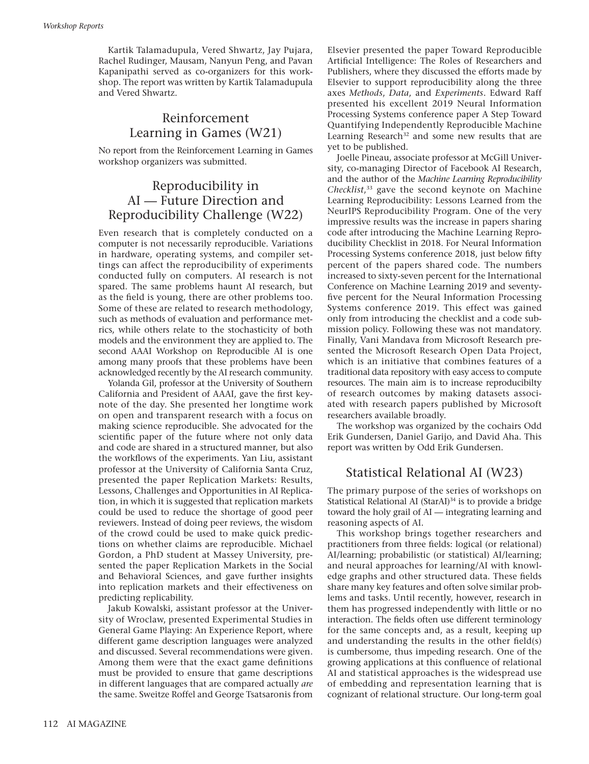Kartik Talamadupula, Vered Shwartz, Jay Pujara, Rachel Rudinger, Mausam, Nanyun Peng, and Pavan Kapanipathi served as co-organizers for this workshop. The report was written by Kartik Talamadupula and Vered Shwartz.

## Reinforcement Learning in Games (W21)

No report from the Reinforcement Learning in Games workshop organizers was submitted.

## Reproducibility in AI — Future Direction and Reproducibility Challenge (W22)

Even research that is completely conducted on a computer is not necessarily reproducible. Variations in hardware, operating systems, and compiler settings can affect the reproducibility of experiments conducted fully on computers. AI research is not spared. The same problems haunt AI research, but as the field is young, there are other problems too. Some of these are related to research methodology, such as methods of evaluation and performance metrics, while others relate to the stochasticity of both models and the environment they are applied to. The second AAAI Workshop on Reproducible AI is one among many proofs that these problems have been acknowledged recently by the AI research community.

Yolanda Gil, professor at the University of Southern California and President of AAAI, gave the first keynote of the day. She presented her longtime work on open and transparent research with a focus on making science reproducible. She advocated for the scientific paper of the future where not only data and code are shared in a structured manner, but also the workflows of the experiments. Yan Liu, assistant professor at the University of California Santa Cruz, presented the paper Replication Markets: Results, Lessons, Challenges and Opportunities in AI Replication, in which it is suggested that replication markets could be used to reduce the shortage of good peer reviewers. Instead of doing peer reviews, the wisdom of the crowd could be used to make quick predictions on whether claims are reproducible. Michael Gordon, a PhD student at Massey University, presented the paper Replication Markets in the Social and Behavioral Sciences, and gave further insights into replication markets and their effectiveness on predicting replicability.

Jakub Kowalski, assistant professor at the University of Wroclaw, presented Experimental Studies in General Game Playing: An Experience Report, where different game description languages were analyzed and discussed. Several recommendations were given. Among them were that the exact game definitions must be provided to ensure that game descriptions in different languages that are compared actually *are* the same. Sweitze Roffel and George Tsatsaronis from Elsevier presented the paper Toward Reproducible Artificial Intelligence: The Roles of Researchers and Publishers, where they discussed the efforts made by Elsevier to support reproducibility along the three axes *Methods*, *Data*, and *Experiments*. Edward Raff presented his excellent 2019 Neural Information Processing Systems conference paper A Step Toward Quantifying Independently Reproducible Machine Learning Research<sup>32</sup> and some new results that are yet to be published.

Joelle Pineau, associate professor at McGill University, co-managing Director of Facebook AI Research, and the author of the *Machine Learning Reproducibility Checklist*, 33 gave the second keynote on Machine Learning Reproducibility: Lessons Learned from the NeurIPS Reproducibility Program. One of the very impressive results was the increase in papers sharing code after introducing the Machine Learning Reproducibility Checklist in 2018. For Neural Information Processing Systems conference 2018, just below fifty percent of the papers shared code. The numbers increased to sixty-seven percent for the International Conference on Machine Learning 2019 and seventyfive percent for the Neural Information Processing Systems conference 2019. This effect was gained only from introducing the checklist and a code submission policy. Following these was not mandatory. Finally, Vani Mandava from Microsoft Research presented the Microsoft Research Open Data Project, which is an initiative that combines features of a traditional data repository with easy access to compute resources. The main aim is to increase reproducibilty of research outcomes by making datasets associated with research papers published by Microsoft researchers available broadly.

The workshop was organized by the cochairs Odd Erik Gundersen, Daniel Garijo, and David Aha. This report was written by Odd Erik Gundersen.

## Statistical Relational AI (W23)

The primary purpose of the series of workshops on Statistical Relational AI (StarAI)<sup>34</sup> is to provide a bridge toward the holy grail of AI — integrating learning and reasoning aspects of AI.

This workshop brings together researchers and practitioners from three fields: logical (or relational) AI/learning; probabilistic (or statistical) AI/learning; and neural approaches for learning/AI with knowledge graphs and other structured data. These fields share many key features and often solve similar problems and tasks. Until recently, however, research in them has progressed independently with little or no interaction. The fields often use different terminology for the same concepts and, as a result, keeping up and understanding the results in the other field(s) is cumbersome, thus impeding research. One of the growing applications at this confluence of relational AI and statistical approaches is the widespread use of embedding and representation learning that is cognizant of relational structure. Our long-term goal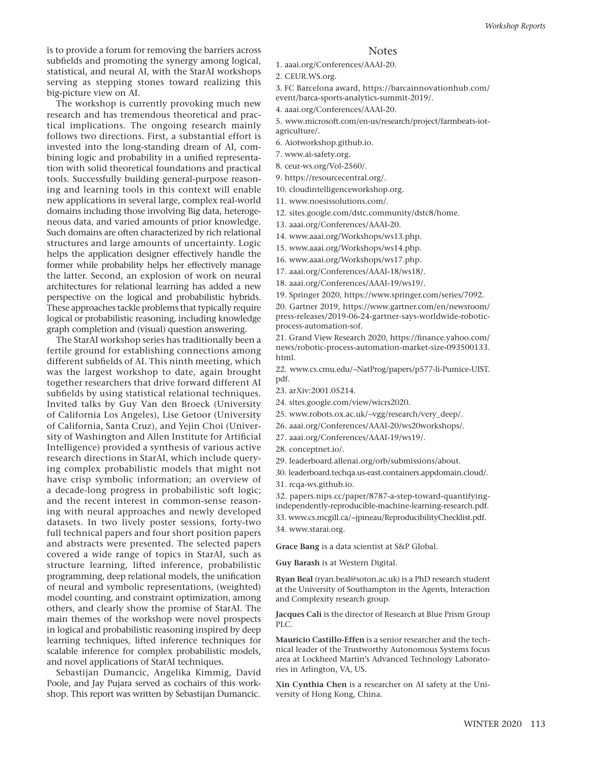is to provide a forum for removing the barriers across subfields and promoting the synergy among logical, statistical, and neural AI, with the StarAI workshops serving as stepping stones toward realizing this big-picture view on AI.

The workshop is currently provoking much new research and has tremendous theoretical and practical implications. The ongoing research mainly follows two directions. First, a substantial effort is invested into the long-standing dream of AI, combining logic and probability in a unified representation with solid theoretical foundations and practical tools. Successfully building general-purpose reasoning and learning tools in this context will enable new applications in several large, complex real-world domains including those involving Big data, heterogeneous data, and varied amounts of prior knowledge. Such domains are often characterized by rich relational structures and large amounts of uncertainty. Logic helps the application designer effectively handle the former while probability helps her effectively manage the latter. Second, an explosion of work on neural architectures for relational learning has added a new perspective on the logical and probabilistic hybrids. These approaches tackle problems that typically require logical or probabilistic reasoning, including knowledge graph completion and (visual) question answering.

The StarAI workshop series has traditionally been a fertile ground for establishing connections among different subfields of AI. This ninth meeting, which was the largest workshop to date, again brought together researchers that drive forward different AI subfields by using statistical relational techniques. Invited talks by Guy Van den Broeck (University of California Los Angeles), Lise Getoor (University of California, Santa Cruz), and Yejin Choi (University of Washington and Allen Institute for Artificial Intelligence) provided a synthesis of various active research directions in StarAI, which include querying complex probabilistic models that might not have crisp symbolic information; an overview of a decade-long progress in probabilistic soft logic; and the recent interest in common-sense reasoning with neural approaches and newly developed datasets. In two lively poster sessions, forty-two full technical papers and four short position papers and abstracts were presented. The selected papers covered a wide range of topics in StarAI, such as structure learning, lifted inference, probabilistic programming, deep relational models, the unification of neural and symbolic representations, (weighted) model counting, and constraint optimization, among others, and clearly show the promise of StarAI. The main themes of the workshop were novel prospects in logical and probabilistic reasoning inspired by deep learning techniques, lifted inference techniques for scalable inference for complex probabilistic models, and novel applications of StarAI techniques.

Sebastijan Dumancic, Angelika Kimmig, David Poole, and Jay Pujara served as cochairs of this workshop. This report was written by Sebastijan Dumancic.

#### **Notes**

- 1. [aaai.org/Conferences/AAAI-20](http://aaai.org/Conferences/AAAI-20).
- 2. [CEUR.WS.org.](http://CEUR.WS.org)
- 3. FC Barcelona award, [https://barcainnovationhub.com/](https://barcainnovationhub.com/event/barca-sports-analytics-summit-2019/) [event/barca-sports-analytics-summit-2019/.](https://barcainnovationhub.com/event/barca-sports-analytics-summit-2019/)
- 4. [aaai.org/Conferences/AAAI-20](http://aaai.org/Conferences/AAAI-20).
- 5. [www.microsoft.com/en-us/research/project/farmbeats-iot](http://www.microsoft.com/en-us/research/project/farmbeats-iot-agriculture/)[agriculture/.](http://www.microsoft.com/en-us/research/project/farmbeats-iot-agriculture/)
- 6. [Aiotworkshop.github.io](http://Aiotworkshop.github.io).
- 7. [www.ai-safety.org.](http://www.ai-safety.org)
- 8. [ceur-ws.org/Vol-2560/.](http://ceur-ws.org/Vol-2560/)
- 9. <https://resourcecentral.org/>.
- 10. [cloudintelligenceworkshop.org.](http://cloudintelligenceworkshop.org)
- 11. [www.noesissolutions.com/.](http://www.noesissolutions.com/)
- 12. [sites.google.com/dstc.community/dstc8/home.](http://sites.google.com/dstc.community/dstc8/home)
- 13. [aaai.org/Conferences/AAAI-20.](http://aaai.org/Conferences/AAAI-20)
- 14. [www.aaai.org/Workshops/ws13.php.](http://www.aaai.org/Workshops/ws13.php)
- 15. [www.aaai.org/Workshops/ws14.php.](http://www.aaai.org/Workshops/ws14.php)
- 16. [www.aaai.org/Workshops/ws17.php.](http://www.aaai.org/Workshops/ws17.php)
- 17. [aaai.org/Conferences/AAAI-18/ws18/.](http://aaai.org/Conferences/AAAI-18/ws18/)
- 18. [aaai.org/Conferences/AAAI-19/ws19/.](http://aaai.org/Conferences/AAAI-19/ws19/)
- 19. Springer 2020, [https://www.springer.com/series/7092.](https://www.springer.com/series/7092)

20. Gartner 2019, [https://www.gartner.com/en/newsroom/](https://www.gartner.com/en/newsroom/press-releases/2019-06-24-gartner-says-worldwide-robotic-process-automation-sof) [press-releases/2019-06-24-gartner-says-worldwide-robotic](https://www.gartner.com/en/newsroom/press-releases/2019-06-24-gartner-says-worldwide-robotic-process-automation-sof)[process-automation-sof](https://www.gartner.com/en/newsroom/press-releases/2019-06-24-gartner-says-worldwide-robotic-process-automation-sof).

21. Grand View Research 2020, [https://finance.yahoo.com/](https://finance.yahoo.com/news/robotic-process-automation-market-size-093500133.html) [news/robotic-process-automation-market-size-093500133.](https://finance.yahoo.com/news/robotic-process-automation-market-size-093500133.html) [html.](https://finance.yahoo.com/news/robotic-process-automation-market-size-093500133.html)

22. www.cs.cmu.edu/*∼*[NatProg/papers/p577-li-Pumice-UIST.](http://www.cs.cmu.edu/<223C>NatProg/papers/p577-li-Pumice-UIST.pdf) [pdf.](http://www.cs.cmu.edu/<223C>NatProg/papers/p577-li-Pumice-UIST.pdf)

- 23. arXiv:2001.05214.
- 24. s[ites.google.com/view/wicrs2020](http://ites.google.com/view/wicrs2020).
- 25. www.robots.ox.ac.uk/*∼*[vgg/research/very\\_deep/](http://www.robots.ox.ac.uk/<223C>vgg/research/very_deep/).
- 26. [aaai.org/Conferences/AAAI-20/ws20workshops/.](http://aaai.org/Conferences/AAAI-20/ws20workshops/)
- 27. [aaai.org/Conferences/AAAI-19/ws19/.](http://aaai.org/Conferences/AAAI-19/ws19/)
- 28. [conceptnet.io/.](http://conceptnet.io/)
- 29. [leaderboard.allenai.org/orb/submissions/about.](http://leaderboard.allenai.org/orb/submissions/about)
- 30. [leaderboard.techqa.us-east.containers.appdomain.cloud/.](http://leaderboard.techqa.us-east.containers.appdomain.cloud/)
- 31. [rcqa-ws.github.io.](http://rcqa-ws.github.io)

32. [papers.nips.cc/paper/8787-a-step-toward-quantifying](http://papers.nips.cc/paper/8787-a-step-toward-quantifying-
independently-reproducible-machine-learning-
research.pdf)[independently-reproducible-machine-learning-research.pdf.](http://papers.nips.cc/paper/8787-a-step-toward-quantifying-
independently-reproducible-machine-learning-
research.pdf) 33. www.cs.mcgill.ca/*∼*[jpineau/ReproducibilityChecklist.pdf](http://www.cs.mcgill.ca/<223C>jpineau/ReproducibilityChecklist.pdf). 34. [www.starai.org](http://www.starai.org).

**Grace Bang** is a data scientist at S&P Global.

**Guy Barash** is at Western Digital.

**Ryan Beal** (ryan.beal@soton.ac.uk) is a PhD research student at the University of Southampton in the Agents, Interaction and Complexity research group.

**Jacques Cali** is the director of Research at Blue Prism Group PLC.

**Mauricio Castillo-Effen** is a senior researcher and the technical leader of the Trustworthy Autonomous Systems focus area at Lockheed Martin's Advanced Technology Laboratories in Arlington, VA, US.

**Xin Cynthia Chen** is a researcher on AI safety at the University of Hong Kong, China.